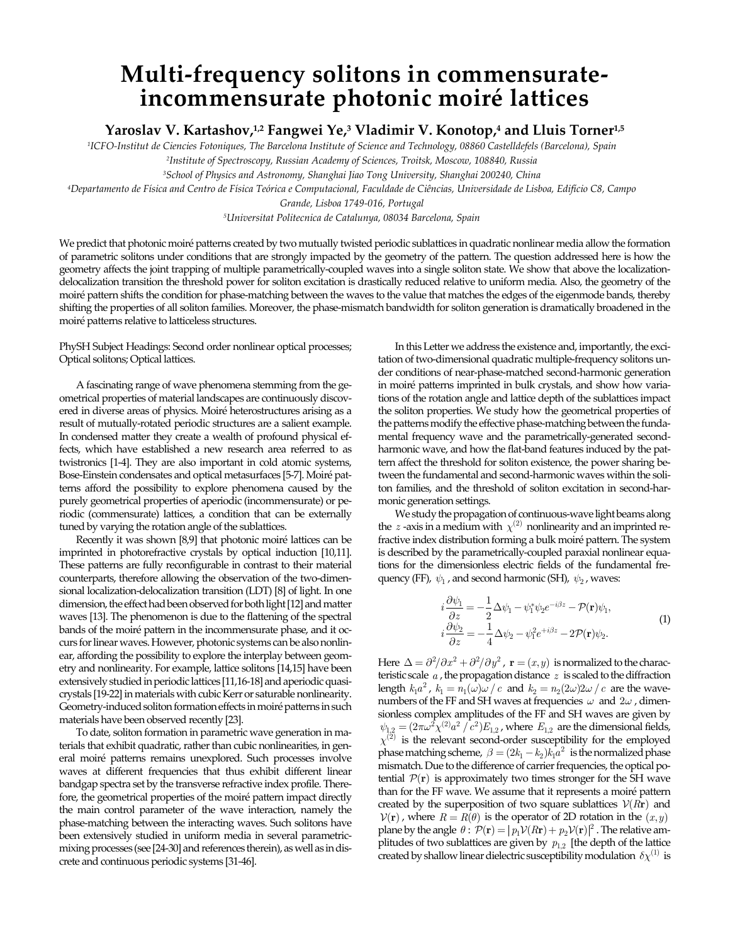## **Multi-frequency solitons in commensurateincommensurate photonic moiré lattices**

**Yaroslav V. Kartashov, 1,2 Fangwei Ye,3 Vladimir V. Konotop,4 and Lluis Torner1,5**

*1 ICFO-Institut de Ciencies Fotoniques, The Barcelona Institute of Science and Technology, 08860 Castelldefels (Barcelona), Spain*

*2 Institute of Spectroscopy, Russian Academy of Sciences, Troitsk, Moscow, 108840, Russia*

*3 School of Physics and Astronomy, Shanghai Jiao Tong University, Shanghai 200240, China*

*4 Departamento de Física and Centro de Física Teórica e Computacional, Faculdade de Ciências, Universidade de Lisboa, Edifício C8, Campo* 

*Grande, Lisboa 1749-016, Portugal*

*5 Universitat Politecnica de Catalunya, 08034 Barcelona, Spain*

We predict that photonic moiré patterns created by two mutually twisted periodic sublattices in quadratic nonlinear media allow the formation of parametric solitons under conditions that are strongly impacted by the geometry of the pattern. The question addressed here is how the geometry affects the joint trapping of multiple parametrically-coupled waves into a single soliton state. We show that above the localizationdelocalization transition the threshold power for soliton excitation is drastically reduced relative to uniform media. Also, the geometry of the moiré pattern shifts the condition for phase-matching between the waves to the value that matches the edges of the eigenmode bands, thereby shifting the properties of all soliton families. Moreover, the phase-mismatch bandwidth for soliton generation is dramatically broadened in the moiré patterns relative to latticeless structures.

PhySH Subject Headings: Second order nonlinear optical processes; Optical solitons; Optical lattices.

A fascinating range of wave phenomena stemming from the geometrical properties of material landscapes are continuously discovered in diverse areas of physics. Moiré heterostructures arising as a result of mutually-rotated periodic structures are a salient example. In condensed matter they create a wealth of profound physical effects, which have established a new research area referred to as twistronics [1-4]. They are also important in cold atomic systems, Bose-Einstein condensates and optical metasurfaces [5-7]. Moiré patterns afford the possibility to explore phenomena caused by the purely geometrical properties of aperiodic (incommensurate) or periodic (commensurate) lattices, a condition that can be externally tuned by varying the rotation angle of the sublattices.

Recently it was shown [8,9] that photonic moiré lattices can be imprinted in photorefractive crystals by optical induction [10,11]. These patterns are fully reconfigurable in contrast to their material counterparts, therefore allowing the observation of the two-dimensional localization-delocalization transition (LDT) [8] of light. In one dimension, the effect had been observed for both light [12] and matter waves [13]. The phenomenon is due to the flattening of the spectral bands of the moiré pattern in the incommensurate phase, and it occurs for linear waves. However, photonic systems can be also nonlinear, affording the possibility to explore the interplay between geometry and nonlinearity. For example, lattice solitons [14,15] have been extensively studied in periodic lattices [11,16-18] and aperiodic quasicrystals [19-22] in materials with cubic Kerr or saturable nonlinearity. Geometry-induced soliton formation effects in moiré patterns in such materials have been observed recently [23].

To date, soliton formation in parametric wave generation in materials that exhibit quadratic, rather than cubic nonlinearities, in general moiré patterns remains unexplored. Such processes involve waves at different frequencies that thus exhibit different linear bandgap spectra set by the transverse refractive index profile. Therefore, the geometrical properties of the moiré pattern impact directly the main control parameter of the wave interaction, namely the phase-matching between the interacting waves. Such solitons have been extensively studied in uniform media in several parametricmixing processes (see [24-30] and references therein), as well as in discrete and continuous periodic systems [31-46].

In this Letter we address the existence and, importantly, the excitation of two-dimensional quadratic multiple-frequency solitons under conditions of near-phase-matched second-harmonic generation in moiré patterns imprinted in bulk crystals, and show how variations of the rotation angle and lattice depth of the sublattices impact the soliton properties. We study how the geometrical properties of the patterns modify the effective phase-matching between the fundamental frequency wave and the parametrically-generated secondharmonic wave, and how the flat-band features induced by the pattern affect the threshold for soliton existence, the power sharing between the fundamental and second-harmonic waves within the soliton families, and the threshold of soliton excitation in second-harmonic generation settings.

We study the propagation of continuous-wave light beams along the  $z$ -axis in a medium with  $\chi^{(2)}$  nonlinearity and an imprinted refractive index distribution forming a bulk moiré pattern. The system is described by the parametrically-coupled paraxial nonlinear equations for the dimensionless electric fields of the fundamental frequency (FF),  $\psi_1$ , and second harmonic (SH),  $\psi_2$ , waves:

$$
i\frac{\partial \psi_1}{\partial z} = -\frac{1}{2}\Delta \psi_1 - \psi_1^* \psi_2 e^{-i\beta z} - \mathcal{P}(\mathbf{r})\psi_1, \ni \frac{\partial \psi_2}{\partial z} = -\frac{1}{4}\Delta \psi_2 - \psi_1^2 e^{+i\beta z} - 2\mathcal{P}(\mathbf{r})\psi_2.
$$
\n(1)

Here  $\Delta = \frac{\partial^2}{\partial x^2} + \frac{\partial^2}{\partial y^2}$ ,  $\mathbf{r} = (x, y)$  is normalized to the characteristic scale *a* , the propagation distance *z* is scaled to the diffraction length  $k_1 a^2$ ,  $k_1 = n_1(\omega) \omega / c$  and  $k_2 = n_2(2\omega) 2\omega / c$  are the wavenumbers of the FF and SH waves at frequencies  $\omega$  and  $2\omega$ , dimensionless complex amplitudes of the FF and SH waves are given by  $\psi_{1,2} = (2\pi\omega^2 \chi^{(2)} a^2 / c^2) E_{1,2}$ , where  $E_{1,2}$  are the dimensional fields,  $\chi^{(2)}$  is the relevant second-order susceptibility for the employed phase matching scheme,  $\beta = (2k_1 - k_2) k_1 a^2$  is the normalized phase mismatch. Due to the difference of carrier frequencies, the optical potential  $P(r)$  is approximately two times stronger for the SH wave than for the FF wave. We assume that it represents a moiré pattern created by the superposition of two square sublattices  $V(Rr)$  and  $V(\mathbf{r})$ , where  $R = R(\theta)$  is the operator of 2D rotation in the  $(x, y)$ plane by the angle  $\theta$ :  $\mathcal{P}(\mathbf{r}) = |p_1 \mathcal{V}(R\mathbf{r}) + p_2 \mathcal{V}(\mathbf{r})|^2$ . The relative amplitudes of two sublattices are given by  $p_{1,2}$  [the depth of the lattice created by shallow linear dielectric susceptibility modulation  $\delta \chi^{(1)}$  is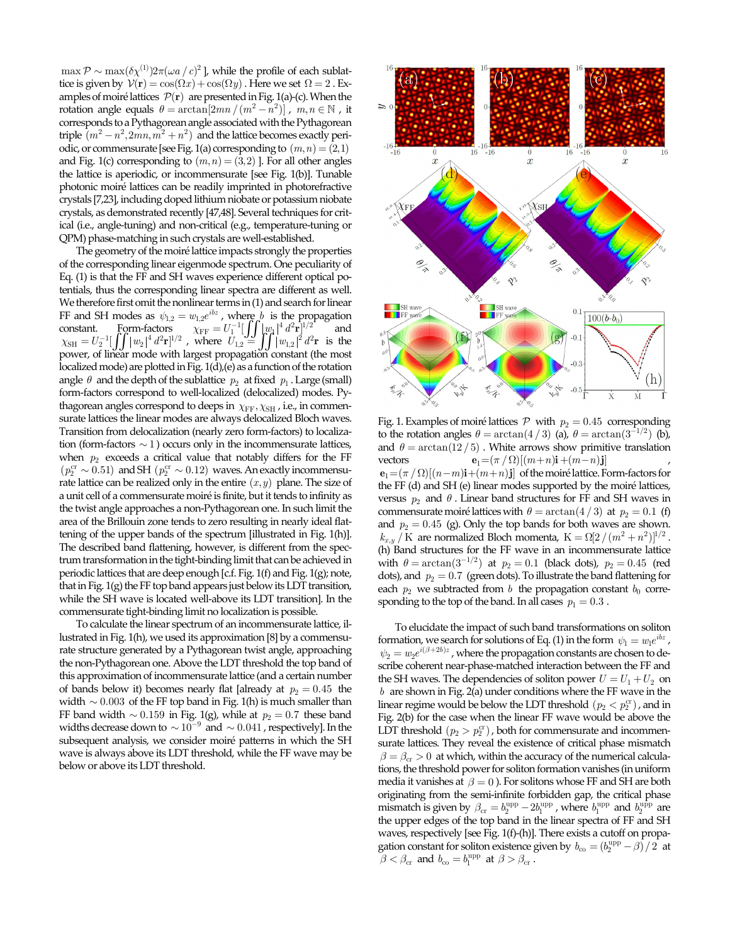$\max \mathcal{P} \sim \max(\delta \chi^{(1)}) 2\pi (\omega a / c)^2$  ], while the profile of each sublattice is given by  $V(\mathbf{r}) = \cos(\Omega x) + \cos(\Omega y)$ . Here we set  $\Omega = 2$ . Examples of moiré lattices  $\mathcal{P}(\mathbf{r})$  are presented in Fig. 1(a)-(c). When the rotation angle equals  $\theta = \arctan[2mn/(m^2 - n^2)]$ ,  $m, n \in \mathbb{N}$ , it corresponds to a Pythagorean angle associated with the Pythagorean triple  $(m^2 - n^2, 2mn, m^2 + n^2)$  and the lattice becomes exactly periodic, or commensurate [see Fig. 1(a) corresponding to  $(m, n) = (2,1)$ and Fig. 1(c) corresponding to  $(m, n) = (3, 2)$  *]*. For all other angles the lattice is aperiodic, or incommensurate [see Fig. 1(b)]. Tunable photonic moiré lattices can be readily imprinted in photorefractive crystals [7,23], including doped lithium niobate or potassium niobate crystals, as demonstrated recently [47,48]. Several techniques for critical (i.e., angle-tuning) and non-critical (e.g., temperature-tuning or QPM) phase-matching in such crystals are well-established.

The geometry of the moiré lattice impacts strongly the properties of the corresponding linear eigenmode spectrum. One peculiarity of Eq. (1) is that the FF and SH waves experience different optical potentials, thus the corresponding linear spectra are different as well. We therefore first omit the nonlinear terms in (1) and search for linear FF and SH modes as  $\psi_{1,2} = w_{1,2} e^{ibz}$ , where *b* is the propagation constant. Form-factors  $\chi_{\text{FF}} = U_1^{-1} \left[ \int \int |w_1|^4 d^2 \mathbf{r} \right]^{1/2}$  and  $\chi_{\text{SH}} = U_2^{-1} \left[ \int \int |w_2|^4 d^2 \mathbf{r} \right]^{1/2}$ , where  $U_{1,2} = \int \int |w_{1,2}|^2 d^2 \mathbf{r}$  is the power, of linear mode with largest propagation const localized mode) are plotted in Fig. 1(d),(e) as a function of the rotation angle  $\theta$  and the depth of the sublattice  $p_2$  at fixed  $p_1$ . Large (small) form-factors correspond to well-localized (delocalized) modes. Pythagorean angles correspond to deeps in  $\chi_{\text{FF}}, \chi_{\text{SH}}$ , i.e., in commensurate lattices the linear modes are always delocalized Bloch waves. Transition from delocalization (nearly zero form-factors) to localization (form-factors  $\sim$  1) occurs only in the incommensurate lattices, when  $p_2$  exceeds a critical value that notably differs for the FF  $(p_2^{\text{cr}} \sim 0.51)$  and SH  $(p_2^{\text{cr}} \sim 0.12)$  waves. An exactly incommensurate lattice can be realized only in the entire  $(x, y)$  plane. The size of a unit cell of a commensurate moiré is finite, but it tends to infinity as the twist angle approaches a non-Pythagorean one. In such limit the area of the Brillouin zone tends to zero resulting in nearly ideal flattening of the upper bands of the spectrum [illustrated in Fig. 1(h)]. The described band flattening, however, is different from the spectrum transformation in the tight-binding limit that can be achieved in periodic lattices that are deep enough [c.f. Fig. 1(f) and Fig. 1(g); note, that in Fig.  $1(g)$  the FF top band appears just below its LDT transition, while the SH wave is located well-above its LDT transition]. In the commensurate tight-binding limit no localization is possible.

To calculate the linear spectrum of an incommensurate lattice, illustrated in Fig. 1(h), we used its approximation [8] by a commensurate structure generated by a Pythagorean twist angle, approaching the non-Pythagorean one. Above the LDT threshold the top band of this approximation of incommensurate lattice (and a certain number of bands below it) becomes nearly flat [already at  $p_2 = 0.45$  the width  $\sim 0.003$  of the FF top band in Fig. 1(h) is much smaller than FF band width  $\sim 0.159$  in Fig. 1(g), while at  $p_2 = 0.7$  these band widths decrease down to  $\sim 10^{-9}$  and  $\sim 0.041$ , respectively]. In the subsequent analysis, we consider moiré patterns in which the SH wave is always above its LDT threshold, while the FF wave may be below or above its LDT threshold.



Fig. 1. Examples of moiré lattices  $P$  with  $p_2 = 0.45$  corresponding to the rotation angles  $\theta = \arctan(4/3)$  (a),  $\theta = \arctan(3^{-1/2})$  (b), and  $\theta = \arctan(12/5)$ . White arrows show primitive translation vectors  $\mathbf{e}_1 = (\pi / \Omega)[(m+n)\mathbf{i} + (m-n)\mathbf{j}]$ 

 ${\bf e}_1 = (\pi / \Omega)[(n-m){\bf i} + (m+n){\bf j}]$  of the moiré lattice. Form-factors for the FF (d) and SH (e) linear modes supported by the moiré lattices, versus  $p_2$  and  $\theta$ . Linear band structures for FF and SH waves in commensurate moiré lattices with  $\theta = \arctan(4/3)$  at  $p_2 = 0.1$  (f) and  $p_2 = 0.45$  (g). Only the top bands for both waves are shown.  $k_{x,y}$  / K are normalized Bloch momenta,  $K = \Omega[2/(m^2 + n^2)]^{1/2}$ . (h) Band structures for the FF wave in an incommensurate lattice with  $\theta = \arctan(3^{-1/2})$  at  $p_2 = 0.1$  (black dots),  $p_2 = 0.45$  (red dots), and  $p_2 = 0.7$  (green dots). To illustrate the band flattening for each  $p_2$  we subtracted from *b* the propagation constant  $b_0$  corresponding to the top of the band. In all cases  $p_1 = 0.3$ .

To elucidate the impact of such band transformations on soliton formation, we search for solutions of Eq. (1) in the form  $\psi_1 = w_1 e^{i\hbar z}$ ,  $\psi_2 = w_2 e^{i(\beta + 2\hbar)z}$ , where the propagation constants are chosen to describe coherent near-phase-matched interaction between the FF and the SH waves. The dependencies of soliton power  $U = U_1 + U_2$  on *b* are shown in Fig. 2(a) under conditions where the FF wave in the linear regime would be below the LDT threshold  $(p_2 < p_2^{\rm cr})$ , and in Fig. 2(b) for the case when the linear FF wave would be above the LDT threshold  $(p_2 > p_2^{\text{cr}})$ , both for commensurate and incommensurate lattices. They reveal the existence of critical phase mismatch  $\beta = \beta_{cr} > 0$  at which, within the accuracy of the numerical calculations, the threshold power for soliton formation vanishes (in uniform media it vanishes at  $\beta = 0$ ). For solitons whose FF and SH are both originating from the semi-infinite forbidden gap, the critical phase mismatch is given by  $\beta_{cr} = b_2^{\text{upp}} - 2b_1^{\text{upp}}$ , where  $b_1^{\text{upp}}$  and  $b_2^{\text{upp}}$  are the upper edges of the top band in the linear spectra of FF and SH waves, respectively [see Fig. 1(f)-(h)]. There exists a cutoff on propagation constant for soliton existence given by  $b_{\rm co} = (b_2^{\rm upp} - \beta)/2$  at  $\beta < \beta_{\rm cr}$  and  $b_{\rm co} = b_1^{\rm upp}$  at  $\beta > \beta_{\rm cr}$ .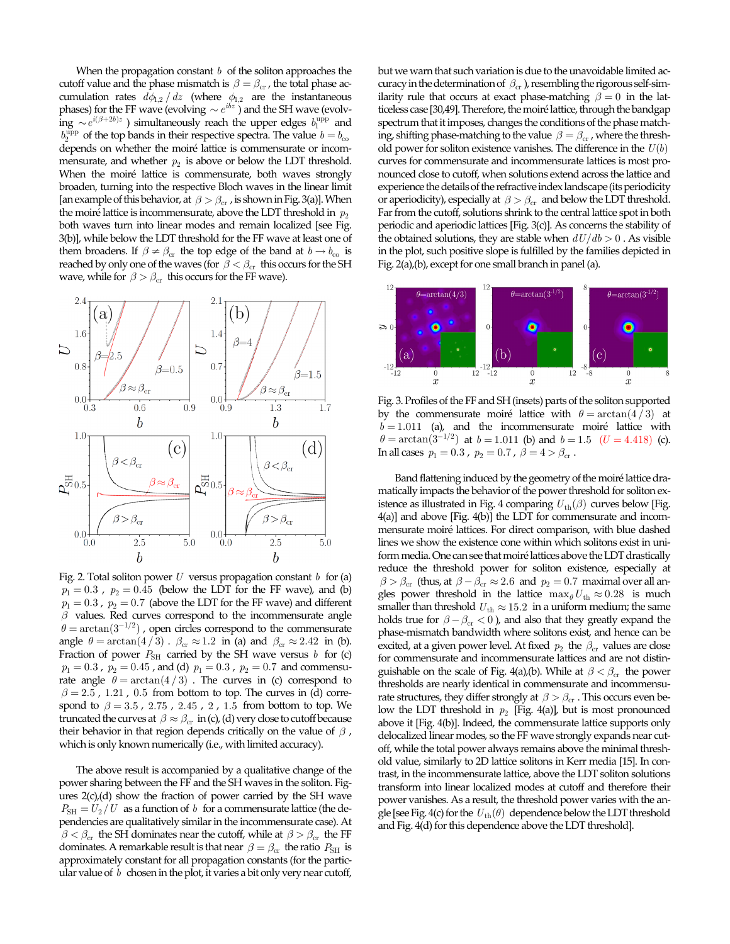When the propagation constant *b* of the soliton approaches the cutoff value and the phase mismatch is  $\beta = \beta_{cr}$ , the total phase accumulation rates  $d\phi_{1,2} / dz$  (where  $\phi_{1,2}$  are the instantaneous phases) for the FF wave (evolving  $\sim e^{ibz}$ ) and the SH wave (evolv- $\lim_{b^{10}P} \sim e^{i(\beta+2b)z}$  is simultaneously reach the upper edges  $b_1^{\text{upp}}$  and  $b^{10}$  $b_2^{\text{upp}}$  of the top bands in their respective spectra. The value  $b = b_{\text{co}}$ depends on whether the moiré lattice is commensurate or incommensurate, and whether  $p_2$  is above or below the LDT threshold. When the moiré lattice is commensurate, both waves strongly broaden, turning into the respective Bloch waves in the linear limit [an example of this behavior, at  $\beta > \beta_{cr}$ , is shown in Fig. 3(a)]. When the moiré lattice is incommensurate, above the LDT threshold in  $p_2$ both waves turn into linear modes and remain localized [see Fig. 3(b)], while below the LDT threshold for the FF wave at least one of them broadens. If  $\beta \neq \beta_{cr}$  the top edge of the band at  $b \rightarrow b_{co}$  is reached by only one of the waves (for  $\beta < \beta_{cr}$  this occurs for the SH wave, while for  $\beta > \beta_{cr}$  this occurs for the FF wave).



Fig. 2. Total soliton power *U* versus propagation constant *b* for (a)  $p_1 = 0.3$ ,  $p_2 = 0.45$  (below the LDT for the FF wave), and (b)  $p_1 = 0.3$ ,  $p_2 = 0.7$  (above the LDT for the FF wave) and different  $\beta$  values. Red curves correspond to the incommensurate angle  $\theta = \arctan(3^{-1/2})$ , open circles correspond to the commensurate angle  $\theta = \arctan(4/3)$ .  $\beta_{cr} \approx 1.2$  in (a) and  $\beta_{cr} \approx 2.42$  in (b). Fraction of power  $P_{\text{SH}}$  carried by the SH wave versus  $b$  for (c)  $p_1 = 0.3$ ,  $p_2 = 0.45$ , and (d)  $p_1 = 0.3$ ,  $p_2 = 0.7$  and commensurate angle  $\theta = \arctan(4/3)$ . The curves in (c) correspond to  $\beta = 2.5$ , 1.21, 0.5 from bottom to top. The curves in (d) correspond to  $\beta = 3.5$ , 2.75, 2.45, 2, 1.5 from bottom to top. We truncated the curves at  $\beta \approx \beta_{cr}$  in (c), (d) very close to cutoff because their behavior in that region depends critically on the value of  $\beta$ , which is only known numerically (i.e., with limited accuracy).

The above result is accompanied by a qualitative change of the power sharing between the FF and the SH waves in the soliton. Figures 2(c),(d) show the fraction of power carried by the SH wave  $P_{\rm SH} = U_2/U$  as a function of *b* for a commensurate lattice (the dependencies are qualitatively similar in the incommensurate case). At  $\beta < \beta_{cr}$  the SH dominates near the cutoff, while at  $\beta > \beta_{cr}$  the FF dominates. A remarkable result is that near  $\beta = \beta_{cr}$  the ratio  $P_{SH}$  is approximately constant for all propagation constants (for the particular value of *b* chosen in the plot, it varies a bit only very near cutoff,

but we warn that such variation is due to the unavoidable limited accuracy in the determination of  $\beta_{cr}$ ), resembling the rigorous self-similarity rule that occurs at exact phase-matching  $\beta = 0$  in the latticeless case [30,49]. Therefore, the moiré lattice, through the bandgap spectrum that it imposes, changes the conditions of the phase matching, shifting phase-matching to the value  $\beta = \beta_{cr}$ , where the threshold power for soliton existence vanishes. The difference in the  $U(b)$ curves for commensurate and incommensurate lattices is most pronounced close to cutoff, when solutions extend across the lattice and experience the details of the refractive index landscape (its periodicity or aperiodicity), especially at  $\beta > \beta_{cr}$  and below the LDT threshold. Far from the cutoff, solutions shrink to the central lattice spot in both periodic and aperiodic lattices [Fig. 3(c)]. As concerns the stability of the obtained solutions, they are stable when  $dU/db > 0$ . As visible in the plot, such positive slope is fulfilled by the families depicted in Fig. 2(a),(b), except for one small branch in panel (a).



Fig. 3. Profiles of the FF and SH (insets) parts of the soliton supported by the commensurate moiré lattice with  $\theta = \arctan(4/3)$  at  $b = 1.011$  (a), and the incommensurate moiré lattice with  $\theta = \arctan(3^{-1/2})$  at  $b = 1.011$  (b) and  $b = 1.5$  (U = 4.418) (c). In all cases  $p_1 = 0.3$ ,  $p_2 = 0.7$ ,  $\beta = 4 > \beta_{cr}$ .

Band flattening induced by the geometry of the moiré lattice dramatically impacts the behavior of the power threshold for soliton existence as illustrated in Fig. 4 comparing  $U_{\text{th}}(\beta)$  curves below [Fig. 4(a)] and above [Fig. 4(b)] the LDT for commensurate and incommensurate moiré lattices. For direct comparison, with blue dashed lines we show the existence cone within which solitons exist in uniform media. One can see that moiré lattices above the LDT drastically reduce the threshold power for soliton existence, especially at  $\beta > \beta_{\rm cr}$  (thus, at  $\beta - \beta_{\rm cr} \approx 2.6$  and  $p_2 = 0.7$  maximal over all angles power threshold in the lattice  $\max_{\theta} U_{\text{th}} \approx 0.28$  is much smaller than threshold  $U_{\text{th}} \approx 15.2$  in a uniform medium; the same holds true for  $\beta - \beta_{cr} < 0$ , and also that they greatly expand the phase-mismatch bandwidth where solitons exist, and hence can be excited, at a given power level. At fixed  $p_2$  the  $\beta_{cr}$  values are close for commensurate and incommensurate lattices and are not distinguishable on the scale of Fig. 4(a),(b). While at  $\beta < \beta_{cr}$  the power thresholds are nearly identical in commensurate and incommensurate structures, they differ strongly at  $\beta > \beta_{cr}$ . This occurs even below the LDT threshold in  $p_2$  [Fig. 4(a)], but is most pronounced above it [Fig. 4(b)]. Indeed, the commensurate lattice supports only delocalized linear modes, so the FF wave strongly expands near cutoff, while the total power always remains above the minimal threshold value, similarly to 2D lattice solitons in Kerr media [15]. In contrast, in the incommensurate lattice, above the LDT soliton solutions transform into linear localized modes at cutoff and therefore their power vanishes. As a result, the threshold power varies with the angle [see Fig. 4(c) for the  $U_{\text{th}}(\theta)$  dependence below the LDT threshold and Fig. 4(d) for this dependence above the LDT threshold].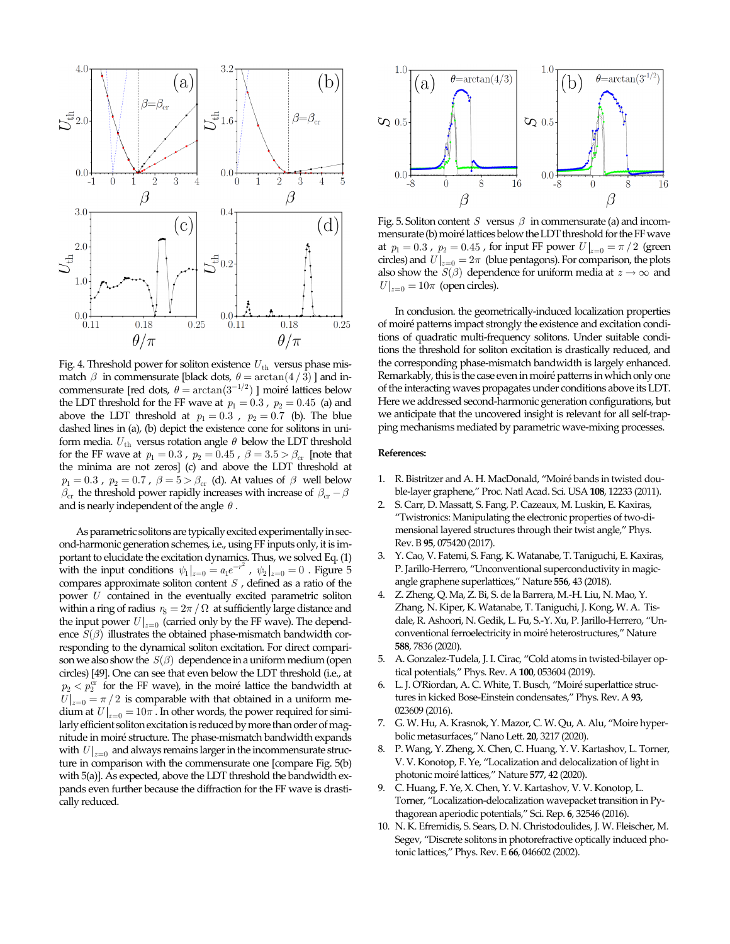

Fig. 4. Threshold power for soliton existence  $U_{\text{th}}$  versus phase mismatch  $\beta$  in commensurate [black dots,  $\theta = \arctan(4/3)$  ] and incommensurate [red dots,  $\theta = \arctan(3^{-1/2})$  ] moiré lattices below the LDT threshold for the FF wave at  $p_1 = 0.3$ ,  $p_2 = 0.45$  (a) and above the LDT threshold at  $p_1 = 0.3$ ,  $p_2 = 0.7$  (b). The blue dashed lines in (a), (b) depict the existence cone for solitons in uniform media.  $U_{\text{th}}$  versus rotation angle  $\theta$  below the LDT threshold for the FF wave at  $p_1 = 0.3$ ,  $p_2 = 0.45$ ,  $\beta = 3.5 > \beta_{cr}$  [note that the minima are not zeros] (c) and above the LDT threshold at  $p_1 = 0.3$ ,  $p_2 = 0.7$ ,  $\beta = 5 > \beta_{cr}$  (d). At values of  $\beta$  well below  $\beta_{cr}$  the threshold power rapidly increases with increase of  $\beta_{cr} - \beta$ and is nearly independent of the angle  $\theta$ .

As parametric solitons are typically excited experimentally in second-harmonic generation schemes, i.e., using FF inputs only, it is important to elucidate the excitation dynamics. Thus, we solved Eq. (1) with the input conditions  $\psi_1|_{z=0} = a_1 e^{-r^2}$ ,  $\psi_2|_{z=0} = 0$ . Figure 5 compares approximate soliton content *S* , defined as a ratio of the power *U* contained in the eventually excited parametric soliton within a ring of radius  $r_S = 2\pi / \Omega$  at sufficiently large distance and the input power  $U|_{z=0}$  (carried only by the FF wave). The dependence  $S(\beta)$  illustrates the obtained phase-mismatch bandwidth corresponding to the dynamical soliton excitation. For direct comparison we also show the  $S(\beta)$  dependence in a uniform medium (open circles) [49]. One can see that even below the LDT threshold (i.e., at  $p_2 < p_2<sup>cr</sup>$  for the FF wave), in the moiré lattice the bandwidth at  $U \big|_{z=0} = \pi/2$  is comparable with that obtained in a uniform medium at  $U|_{z=0} = 10\pi$ . In other words, the power required for similarly efficient soliton excitation is reduced by more than order of magnitude in moiré structure. The phase-mismatch bandwidth expands with  $U|_{z=0}$  and always remains larger in the incommensurate structure in comparison with the commensurate one [compare Fig. 5(b) with 5(a)]. As expected, above the LDT threshold the bandwidth expands even further because the diffraction for the FF wave is drastically reduced.



Fig. 5. Soliton content *S* versus  $\beta$  in commensurate (a) and incommensurate (b) moiré lattices below the LDT threshold for the FF wave at  $p_1 = 0.3$ ,  $p_2 = 0.45$ , for input FF power  $U|_{z=0} = \pi/2$  (green circles) and  $U|_{z=0} = 2\pi$  (blue pentagons). For comparison, the plots also show the *S*( $\beta$ ) dependence for uniform media at  $z \to \infty$  and  $U\big|_{z=0} = 10\pi$  (open circles).

In conclusion. the geometrically-induced localization properties of moiré patterns impact strongly the existence and excitation conditions of quadratic multi-frequency solitons. Under suitable conditions the threshold for soliton excitation is drastically reduced, and the corresponding phase-mismatch bandwidth is largely enhanced. Remarkably, this is the case even in moiré patterns in which only one of the interacting waves propagates under conditions above its LDT. Here we addressed second-harmonic generation configurations, but we anticipate that the uncovered insight is relevant for all self-trapping mechanisms mediated by parametric wave-mixing processes.

## **References:**

- 1. R. Bistritzer and A. H. MacDonald, "Moiré bands in twisted double-layer graphene," Proc. Natl Acad. Sci. USA **108**, 12233 (2011).
- 2. S. Carr, D. Massatt, S. Fang, P. Cazeaux, M. Luskin, E. Kaxiras, "Twistronics: Manipulating the electronic properties of two-dimensional layered structures through their twist angle," Phys. Rev. B **95**, 075420 (2017).
- 3. Y. Cao, V. Fatemi, S. Fang, K. Watanabe, T. Taniguchi, E. Kaxiras, P. Jarillo-Herrero, "Unconventional superconductivity in magicangle graphene superlattices," Nature **556**, 43 (2018).
- 4. Z. Zheng, Q. Ma, Z. Bi, S. de la Barrera, M.-H. Liu, N. Mao, Y. Zhang, N. Kiper, K. Watanabe, T. Taniguchi, J. Kong, W. A. Tisdale, R. Ashoori, N. Gedik, L. Fu, S.-Y. Xu, P. Jarillo-Herrero, "Unconventional ferroelectricity in moiré heterostructures," Nature **588**, 7836 (2020).
- 5. A. Gonzalez-Tudela, J. I. Cirac, "Cold atoms in twisted-bilayer optical potentials," Phys. Rev. A **100**, 053604 (2019).
- 6. L. J. O'Riordan, A. C. White, T. Busch, "Moiré superlattice structures in kicked Bose-Einstein condensates," Phys. Rev. A **93**, 023609 (2016).
- 7. G. W. Hu, A. Krasnok, Y. Mazor, C. W. Qu, A. Alu, "Moire hyperbolic metasurfaces," Nano Lett. **20**, 3217 (2020).
- 8. P. Wang, Y. Zheng, X. Chen, C. Huang, Y. V. Kartashov, L. Torner, V. V. Konotop, F. Ye, "Localization and delocalization of light in photonic moiré lattices," Nature **577**, 42 (2020).
- 9. C. Huang, F. Ye, X. Chen, Y. V. Kartashov, V. V. Konotop, L. Torner, "Localization-delocalization wavepacket transition in Pythagorean aperiodic potentials," Sci. Rep. **6**, 32546 (2016).
- 10. N. K. Efremidis, S. Sears, D. N. Christodoulides, J. W. Fleischer, M. Segev, "Discrete solitons in photorefractive optically induced photonic lattices," Phys. Rev. E **66**, 046602 (2002).